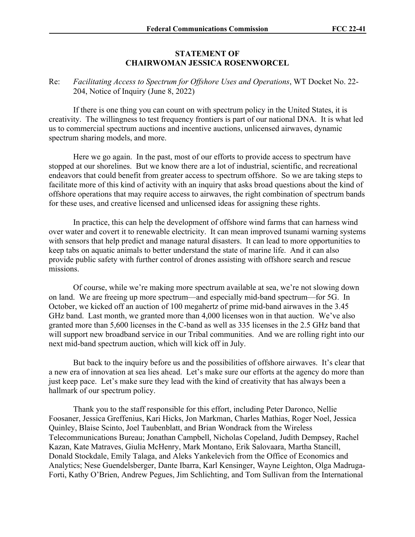## **STATEMENT OF CHAIRWOMAN JESSICA ROSENWORCEL**

## Re: *Facilitating Access to Spectrum for Offshore Uses and Operations*, WT Docket No. 22- 204, Notice of Inquiry (June 8, 2022)

If there is one thing you can count on with spectrum policy in the United States, it is creativity. The willingness to test frequency frontiers is part of our national DNA. It is what led us to commercial spectrum auctions and incentive auctions, unlicensed airwaves, dynamic spectrum sharing models, and more.

Here we go again. In the past, most of our efforts to provide access to spectrum have stopped at our shorelines. But we know there are a lot of industrial, scientific, and recreational endeavors that could benefit from greater access to spectrum offshore. So we are taking steps to facilitate more of this kind of activity with an inquiry that asks broad questions about the kind of offshore operations that may require access to airwaves, the right combination of spectrum bands for these uses, and creative licensed and unlicensed ideas for assigning these rights.

In practice, this can help the development of offshore wind farms that can harness wind over water and covert it to renewable electricity. It can mean improved tsunami warning systems with sensors that help predict and manage natural disasters. It can lead to more opportunities to keep tabs on aquatic animals to better understand the state of marine life. And it can also provide public safety with further control of drones assisting with offshore search and rescue missions.

Of course, while we're making more spectrum available at sea, we're not slowing down on land. We are freeing up more spectrum—and especially mid-band spectrum—for 5G. In October, we kicked off an auction of 100 megahertz of prime mid-band airwaves in the 3.45 GHz band. Last month, we granted more than 4,000 licenses won in that auction. We've also granted more than 5,600 licenses in the C-band as well as 335 licenses in the 2.5 GHz band that will support new broadband service in our Tribal communities. And we are rolling right into our next mid-band spectrum auction, which will kick off in July.

But back to the inquiry before us and the possibilities of offshore airwaves. It's clear that a new era of innovation at sea lies ahead. Let's make sure our efforts at the agency do more than just keep pace. Let's make sure they lead with the kind of creativity that has always been a hallmark of our spectrum policy.

Thank you to the staff responsible for this effort, including Peter Daronco, Nellie Foosaner, Jessica Greffenius, Kari Hicks, Jon Markman, Charles Mathias, Roger Noel, Jessica Quinley, Blaise Scinto, Joel Taubenblatt, and Brian Wondrack from the Wireless Telecommunications Bureau; Jonathan Campbell, Nicholas Copeland, Judith Dempsey, Rachel Kazan, Kate Matraves, Giulia McHenry, Mark Montano, Erik Salovaara, Martha Stancill, Donald Stockdale, Emily Talaga, and Aleks Yankelevich from the Office of Economics and Analytics; Nese Guendelsberger, Dante Ibarra, Karl Kensinger, Wayne Leighton, Olga Madruga-Forti, Kathy O'Brien, Andrew Pegues, Jim Schlichting, and Tom Sullivan from the International